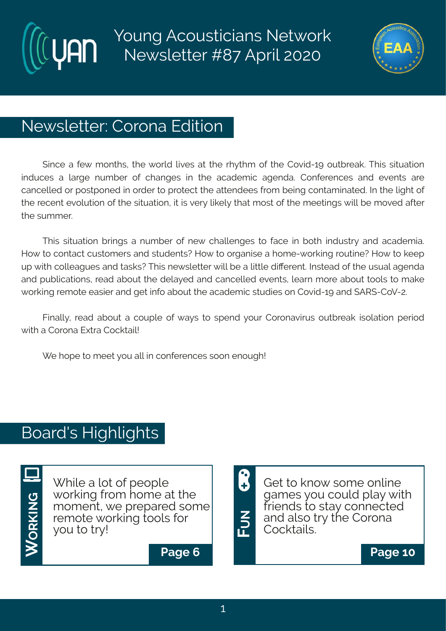# Young Acousticians Network Newsletter #87 April 2020



# Newsletter: Corona Edition

Since a few months, the world lives at the rhythm of the Covid-19 outbreak. This situation induces a large number of changes in the academic agenda. Conferences and events are cancelled or postponed in order to protect the attendees from being contaminated. In the light of the recent evolution of the situation, it is very likely that most of the meetings will be moved after the summer.

This situation brings a number of new challenges to face in both industry and academia. How to contact customers and students? How to organise a home-working routine? How to keep up with colleagues and tasks? This newsletter will be a little different. Instead of the usual agenda and publications, read about the delayed and cancelled events, learn more about tools to make working remote easier and get info about the academic studies on Covid-19 and SARS-CoV-2.

Finally, read about a couple of ways to spend your Coronavirus outbreak isolation period with a Corona Extra Cocktail!

We hope to meet you all in conferences soon enough!

# Board's Highlights

**WO R** $\frac{\mathsf{Z}}{\mathsf{Y}}$  . **G**旦

While a lot of people working from home at the moment, we prepared some remote working tools for you to try!



Get to know some online games you could play with friends to stay connected and also try the Corona Cocktails.

**Page 6 Page 10**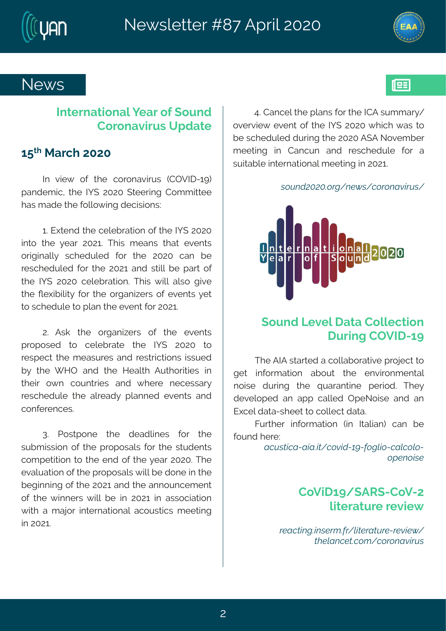Si { w

93Her gipt it #per w#sv#vli#NHF#wyggev}4 szivzmi{ # zirx#sj# xi #Nj(#7575#[ Imgl# {ew#xs# fi#wglihypih#hywnk#vli#7575#F(F#Ssziqfiv# q i i xnnk#mn#Hergyr#erh#vivglihypi#jsv#e# wy maef pi# mxi vrexmsrep#q i i xnnk# m#75763

. UxùÕ&Õ&¢ <sup>2</sup>L-x\$ó · - î . <sup>2</sup> yxĐòl<sup>2</sup>Ù -

## $(syrh\#Q)$  zi p# exe# lsp i qxms r # I vynk#HTZN 26>

XI i #FNF#wevxi h#e#gsppef svexoni# vsnigx#s# kix# misvq exnsr#efsyx#xli#irzmwsrqirxep# rsmwi#hyvnnk#xli#uyeverxnni#tivnsh3#Xli}# hi zi pst i h#er#et t#qepoih#Tt i Ssmwi#erh#er# J | gi phexe2wl i i x#s#gspoigx#hexe3

Kywliv#misyqexmsr#-m#Nepmer.#ger#fi#  $isyrh\#i\vee \#$ 

 $\overrightarrow{D}$  U  $\overrightarrow{H}$   $\overrightarrow{D}$  $\overrightarrow{AD}$  $\overrightarrow{D}$  $\overrightarrow{F}$  $\overrightarrow{F}$ ,  $\overrightarrow{O}$  $\overrightarrow{O}$  $\overrightarrow{C}$ ,  $\overrightarrow{C}$ ,  $\overrightarrow{C}$ ,  $\overrightarrow{F}$  $\overrightarrow{F}$  $\overrightarrow{F}$ ,  $\overrightarrow{F}$  $, \cdot$  \$x, [  $.$  \$

> HsZrh 6>4 (FW 2HsZ27 pxi vexy vi #i zm{

2\$Đî 日xL¢x·\$2t ¢2 KBS2DELP\$ZP\$0506 - $\hat{E}$ V\$KDxî \$ $\hat{E}$ , t  $-1$ ,  $^2$ , x $E$ bòl<sup>2</sup>Ù

## No vi experienti evtit syrh Hs vsr eznw w#Y thexi

## 6:  $*$  Reval #575

 $N#zm$ {  $#s$  $#x$  i  $#g$ s vsrezmy w $#HTZN$  26>.# terhiq mg1#xli#1Nj(#7575#(xiivnnk#Hsqqnxxii# lew#q ehi#vli#spos{ m.k.#higmwnsrw?

63#J | xi r h #xl i #gi pi f vexmsr #sj #xl i #N| (#7575# mos#xli#}iev#7576\$#XImw#qierw#xlex#izirxw# swhomen of # vight i hypih # jsv # xli # 7575 # ger # fi # vi vgl i hypih#jsv#xl i #7576#erh#wxmpp#f i #t evx#sj# x i #NN (#7575#gi p f vexmsr \$#XI mo#f mpo#epvs#k nzi # xli#Qi|mfnpox}#jsv#xli#svkerm-ivw#sj#izirxw#}ix# xs#wglihypi#xs#per#vli#izirx#|sv#75763

73# Fwo# xli# swker majww# sj# xli# izir xw# t vst swih# xs# gipi f vexi # xl i #  $N/($  # 7575# xs# vi wt i gx#xl i #g i ewy vi w#er h#vi www.ngxnsnrw#www.vih# f } #x| i #[ MT#er h#x| i #Miep | #Fyx| svoxinw#mn#  $\frac{1}{2}$  in # s{ r # qs yr x win w # er h # { l i vi # r i q i w we v} # vi vglihypi#xli#epvieh}#tperrih#izirxw#erh# gsrji virgi w<sup>3</sup>

83# Uswotsri# xli# hiehpmiw# jsw# xli# wyf g mww.nsr#sj#xli#t wstswepw#jsv#xli#tww.hirxw# qsq tixmansır#xs#xli#irh#si#xli#liev#75753#Xli# izepyexmsr#sj#vli#tvstswepw#{mpo#fi#hsri#mn#vli# fikmurmnk#sj#vli#7576#erh#vli#errsyrgiqirx# si#xli#{ mriw#{ mo#fi #mf#7576#mf#ewwsqrexmsr# { not #e#q ensu#nnxi vrexmsrep#egsywxngw#q i i xnnk#  $m\#5763$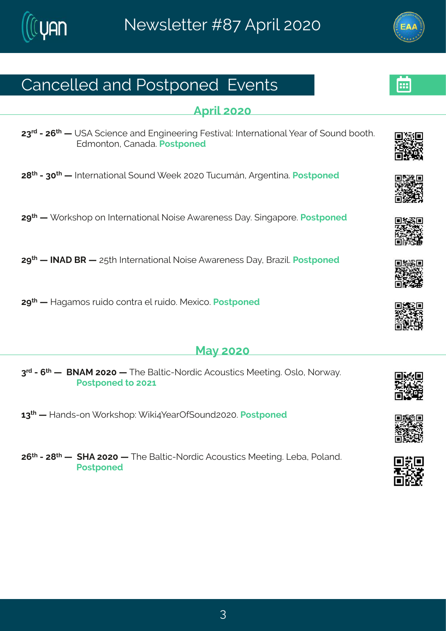# Her gi poi h#er h#Uswat srih#Uzir xw

#### Ft vm#575

78<sup>vh</sup>#247; <sup>x</sup> # #Y (F#, gmirgi#erh#Jrkmii vmk#Kiwxnzep?#Ntxi vrexmsrep#tiev#sj#, syrh#ssxl 3# Jhq srxsr#Herehe3Uswt srih

7=  $*$  #2485 \* # # # xi w exns rept{syrh # ii o #7575 # xygyq Qr # F wk ir xnne \$ t sv ih

7><sup>x</sup> # # svowlst#sr#Ntxivrexmsrep#Ssmwi#F{eviriww#le}3#mnketsvi3#Jswxtsrih

7><sup>x</sup> # #NSFI#GW# #7:xl#Nxivrexnsrep#Ssmwi#F{eviriww#e}#Gve~m0\$Uswxtsrih

7><sup>x|</sup>#||#Mekeg sw#w.mhs#dsrxve#in#w.mhs3#Rilmos3#Jsw xtsrih

### Re}#575

8<sup>th</sup>#2#<sup>x|</sup># #AGSFR#7575# #XIi#Gepxmg2Ssvhmg#Fgsywxngw#Riixmk3#Twps1#Ssv{e}3# Us wat srihtts #7576#

68<sup>x</sup> # #Merhw2sr# svowlst # mom?lievTj(syrh75753Llswxtsrih

7;  $\frac{\cancel{x}}{1}$  #2#7= $\cancel{x}$  # # MF#7575 # #XI i #Gepxng2Ssvhng#Fgsywxngw#Rii xnnk 3#Q fe#Usperh 3# Uswtsrih#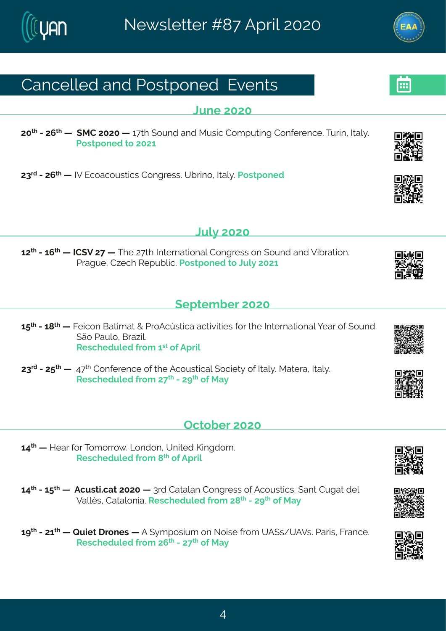# Hergippih#erh#Uswatsrih#Uzirxw

Qri#575

75<sup>x|</sup>#2#7;<sup>x|</sup>#1|#{RH#7575#|#6<x|#{syrh#erh#Rywmg#Hsqtyxmnk#Hsrjivirgi3#Xyvmn1#Nep}3# Us wat sriht#s#7576#

78<sup>vh</sup>#2477; x<sup>1</sup> #14 #3241Jgsegsywwngw#Hsrkviww34Yfwnns#Nep}34Jswxtsrih

 $Q/\beta$  #575

67<sup>xl</sup> #246; xi # #NH(Z#7<# #Xli#7<xl #Ntxivrexmsrep#Hsrkviww#sr#(syrh#erh#Zmfvexmsr3# Uvek vi 14H-i al #Wit vf pra3Us wat srih#s#Dvd #7576

 $#$ 

 $($ itxig fiv $#$ 575

6:  $\frac{\times}{4}$ #246= $\frac{\times}{4}$  #Kingsr#Gexno, ex#+#UsFgáw-mge#egxnzn min w#jsv#vli#ndxi vrexnsrep#jiev#sj#syrh3#  $($  Es#Jeyps #Gve $\neg$ mS# W wglihypih#vsq#6w#si#Ftwm

78<sup>vh</sup>#247: <sup>x|</sup> #1 #49<<sup>x|</sup> #Hsrji virgi#sj#vli#Fgsywxngep#sgmix}#sj#Nep}3Rexive1#Nep}3# W wal i hypih# vsq  $\frac{\pi}{3}$   $\frac{4}{2}$   $\frac{\pi}{3}$   $\frac{1}{2}$   $\frac{1}{2}$   $\frac{1}{2}$   $\frac{1}{2}$   $\frac{1}{2}$   $\frac{1}{2}$   $\frac{1}{2}$   $\frac{1}{2}$   $\frac{1}{2}$   $\frac{1}{2}$   $\frac{1}{2}$   $\frac{1}{2}$   $\frac{1}{2}$   $\frac{1}{2}$   $\frac{1}{2}$   $\frac{1}{2}$   $\frac{1}{2}$   $\$ 

Taxsfiv#575

69<sup>xl</sup># #Miev#sv#Xsqsws{3#Qsrhsr1#Yrmxih#Pnnkhsq3# W wal i hypih# vsq  $#^{\mathcal{A}}$ #sj# Ft vmp

69<sup>xl</sup> #246; <sup>xl</sup> # # Flaywan \$ex= #7575# # 3 wh# Hexener # Hsrkviww#si#Fasywanow \$# erx# Hykex#hip# Zepp with lexeps rmest W wall i hypih # vsq  $m = x$   $m = x$   $m = x$   $m = 0$ 

6>  $\frac{4}{2}$  #2476 4 # 4V y m x 4 to sriw 4 # F # } q t swngq #sr #S smwi# vsq # Y F (w4 Y F Zw & LlewmW# Kvergi 3 W wal i hypih#vsq  $\#$ ;  $\frac{1}{2}$   $\#$   $\#$   $\frac{1}{2}$   $\#$   $\frac{1}{2}$   $\#$   $\frac{1}{2}$   $\#$   $\frac{1}{2}$ 

 $#$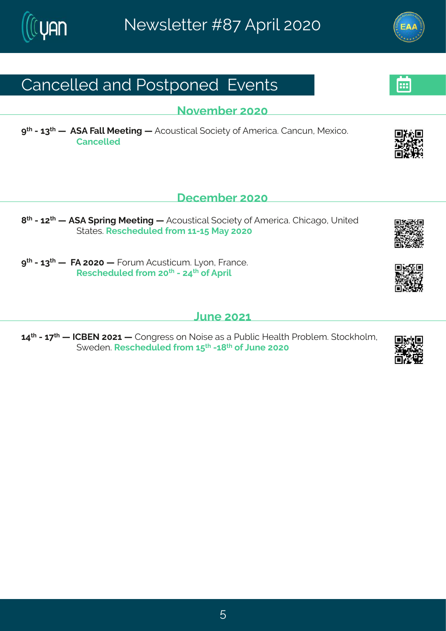# Her gi poi h#er h#Uswat srih#Uzirxw

Sszigfiw#575

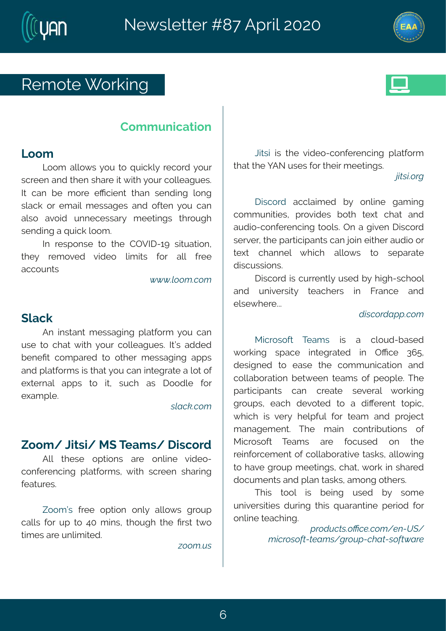# W  $q s x \# s$  womk

# Hsq q yr rgexrar

### Qssq

Cssq #epps{ w#} sy#xs#uymgop}#wigsvh#} syw# w.qviir#erh#vlir#wlevi#nx#fmxl#isyv#qspoiekyiw3# Nottger#fi#q svi#iRgmin: x#xler#wirhmk#psrk# woego#sv#igend#giwwekiw#erh#sjxir#}sy#ger#  $epws # ezsth # yrri qi wwe\% # qi i xmkw# x sylk #$ wirhmk#e#uvmoo#ssq3

Not #vi wt sr wi #xs#xl i #HTZN 26>#wnxy exnst #  $\forall$  i }#  $\forall$  q szi h#zmhis# pron man# jsv# epo# jvii# eggsyr xw

 $\acute{o}$   $\acute{o}$   $\acute{o}$   $\&$   $\kappa$ , t  $\hat{\phi}$ , t

## $($  pego

Fr#mwerx#q iwwekmnk#tpexisvq#}sv#qer# ywi#xs#glex#{mxl#}syv#gspoiekyiw3#NnoX#ehhih# firiPx#qsqtevih#xs#sxliv#qiwwekmnk#ettw# er h# pexis vq w#w# dex#jsy#ger#mxik vexi#e#psx#sj# i | xi vrep#et tw#xs#mx1#wyql#ew#lsshpi#jsw#  $i$  | eq t  $pi$  3

 $\cdot$  kDî h $\hat{a}$   $\cdot$  t

# ^ssq 4#DAWA#R (#Xi eq w4# magsvh

Fno# xliwi# stxmsrw# evi# srpmi# zmhis2 gsrijvirgm k#tpexisyq w# { mol#w.qviir#wlewnn k# ji exy vi w 3#

^ssq ðm#jvii#stxmsr#srp}#epps{w#kvsyt# genowhis why tthesth95#g mn whb is y k lthal ithPww.thal stt xmo i w#evi#yrpmo maih 3

 $"...t$  di

Oxw# mow #ximis2gsrijvirgnnk#tpexisyg# xlex#xli#;FS#ywiw#;sv#xlimx#qiixmnkw3 **bÊ** [¢<sup>2</sup>L

I mags  $\ln 4$  equence i h#f } # srpni # keq m k # qsqqvrmxmiw#tvszmhiw#fsxl#xi|x#qlex#erh# eyhnso 2qsrii virgnn k#sspw3#Tr#e#knzir#Imwqsvh# wivzi Vttol i # evargmt er xwttger #ssmn# not i wtey hnst#swtt  $x + y + 1 = 0$  of errip # {  $\log x + 1 = 0$  and # epos { w #  $x \leq 0$  w + t eve x # hmygy www.snr w<sup>3</sup>

I mags vh# mot dy vvi r xp}#y vi h#f}# nkil 2 val ssp# er h# yr mzi www.  $# x$  eql i w# m# K ver qi  $#$  er h $#$ ipwi{livi333

### $\mathbf{\hat{u}}$ [ $\cdot$  î " <sup>2</sup> $\mathbf{\hat{u}}$ **Đ** $\cdot$   $\mathbf{\hat{\phi}}$  " t

Rmowswsjx# Xieq w# mw# e# qpsyh2fewih# { svom k# wt eqi# m xi kvexi h# m #  $TR$ qi # 8; : # hiwtharih#xs#iewi#xli#qsqqyrmqexmsr#erh# qspoefsvexmsr#fix{iir#xieqw#sj#tistpi3#Xli# t ewnomtner xw# ger # gvi exi # wi zi ver# { svomnk# k syt w<sup>#</sup>i eql #hi zsxi h#xs#e#hmOi vir x#xst mon# { I rol # row #zi v} #l i pt jy p# js v #xi eq # er h # t vs ni q x # q erekiq ir x 3# X li # q enn # gsr x vnfn y x msr w # sj # RIONSWSIX# Xieq w# evi# isqvwih# sr# xli# vim jsvojig ir x#si#gspoefsvexomi#xewow#epos{mk# xs#lezi#kvsyt#qiixmkw#qlex#{svo#m#wlevih# hsqvq ir xw#erh# per#xewow#eq srk#sxl iww3

XI mont  $x$  s  $y$  that month im k # y wi h # f } # wsq i # yrnzi wyxmiw#hywnk#xlmw#uyeverxnni#tiwnsh#jsw# srpmi#xieglmk3

• 2, ù Ùi Ê  $\alpha$  = î \$ $\hat{\alpha}$ , t - \$x Z £ --<br>t [î 2,  $\cdot$  , ;  $\hat{z}$   $\hat{z}$  \$ B + - - + 2,  $\hat{U}$  +  $Z$  WD $\hat{Z}$  , ;  $\hat{E}$  B + 5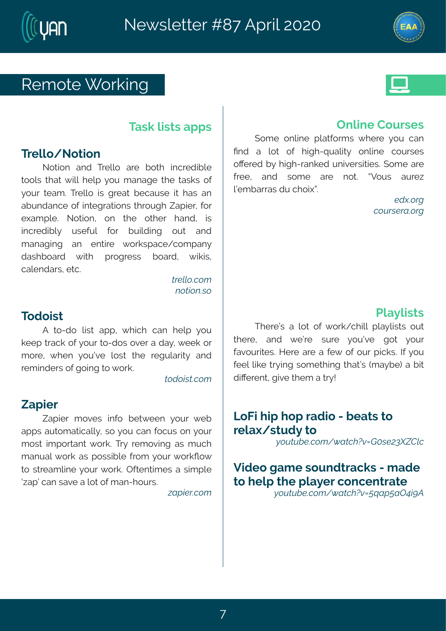# W  $q s x \# s$  womk

### Xewo#mxw#et t w

# Xvi pps 4 Ssxmar

Ssxmsr#erh#Xvipps#evi#fsxl#mngvihmlpi# xsspw#xlex#{ mpp#lipt#} sy#q ereki#xli#xewow#sj# sy whoieq 3#X wipps#mowthk viex#figey wi#mx#lew#er# ef yr her gi #sj#mxik vexmsr w#xl vsykl #^et miv/#jsv# ileg toj3#Ssxnsr1#sr#xli#sxliv#lerh1#mw#  $m$ gvihnfn $\beta$ # ywijyp# jsv# fyndnn $nk$ # syx# erh# g er eknnk# er # i r xmi # { s vowt egi 4 g s q t er } # hew fsevh# { mot# tvskvivw# fsevh# { momon# gep r hew# xg3

> $\hat{E}$ \$kk,  $\hat{\alpha}$  , t  $x_{n}$ ,  $\hat{H}$ ,  $x \in \mathcal{L}$

## Xshsmx

F#xs2hs#pnow#ett#{lmgl#ger#lipt#}sy# oiit#wego#sj#jsyw#s2hsw#sziv#e#he}1#{iio#sw# q svi 1#{lir#}syoži#pswo#xli#vikypevnx}#erh# viq mhi w#sj#ksmk#s#svo3

Ê. ù., I. & ., t

### $\lambda$ et mv

^et miv#q sziw#m\_js#fix{iir#}syv#{if# et twhey xsq exmotept) this # sy#ger#sgyw#sr#syw# q sworthing t swerx#{ svo 3#Xv}# xiq szmlk#ew#q ygl # q er yep# svo#ew# swwnfnpi#jvsq# syv# svoQs{# xs#ww.ieqponi#}syv#{svo3#Tjxirxmo;iw#e#wmo;tpi# i-et õtger #wezi #e#psx#sj#q er 21 syww3

"Đ• I\$2¢,, t

# Trpni#Sywiw

 $(sq$  i #srpmi#t pexisvant  $W$  livi#} sy#ger# Prh#e#psx#sj#lmkl2uyepnx}#srpmi#gsywiw# sOi vih #}# nkl 2 vero ih #yrnzi www.miw 34(sqi#evi# jvii # erh# wsgi# evi# rsx # oZsyw # eyvi ~ # moo q f ewew#hy#gl smho3

> \$ùù¢<sup>2</sup>L  $\hat{I}$  ..  $\hat{U}^2$   $\hat{S}^2D\hat{\alpha}^2L$

## Upe} pnww

XI i vi o whethps xtls jtt{ svo 4gl month pe} prowavtts y xtl xlivi#erh#{iðvi#wyvi#}syðzi#ksx#}syv# jezsy vna wBAM i vi#evi#e#ji{#sj#sy v#t mgo wBANH}sy# ji ip#proj#xy}mk#wsq ixlmk#xlexðw#q e}fi.#e#fnx# hnoivir x14kmzi#xliq#e#w}\$

Qs Kn# th# st#veh ms#2#fiexw#xs# vi pe  $4$  way h } #  $\frac{1}{5}$ ú. UfÉLá\$á..t - é ĐÊT WÒ6Z& \$O ÂË: kî

Zmlis#keqi#wsyrhxvegow#2#qehi# xs#ipt#di#pe}iv#gsrgirxvexi ú, UfLasc, t -6 Dft Wood D ADSH-!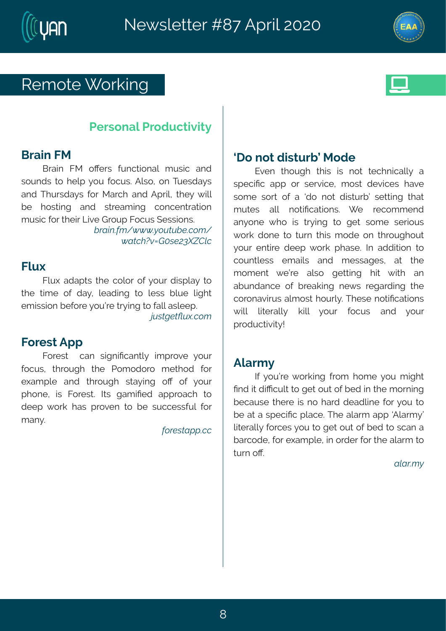# W  $q s x \# s$  womk

# Ui wsrecttushy axizinal

## Gvem#KR

Gvern#KR#sQ w#jvrgxnsrep#g ywnop#erh# wsyrhw#xs#lipt#}sy#jsgyw3#Fpws1#sr#Xyiwhe}w# er h#XI y whe } w#j s v#R evgl #er h#Ft vnp#Ali }# mp# f i #  $\frac{1}{2}$  swamk # er h # www.ieq mk # gsrgir xvexmsr # q ywnon#sw#Jimo#Qoni#Lwsyt#Ksqyw#tiwww.nsrw8 ó ĐẾ WÒ6Z& \$Ố ÂË: kì

## $K_{N}$

Kpy | #ehet xw#xl i #gspsw#sj#} syw#hmwt pe}#xs# x i #xmg i #sj#he}1#pjehmk#xs#pjww#fpyj#pnklx# iq mwwnsr#fijsvi#jsyðvi#xy}mnk#xs#jepo#ewpiit3 b) Ê SÊQUG t

## Ks vi wx# Ft t

K svi w ## ger # what mPger x $\beta$  # mo t vszi # } sy v # jsgyw#xlvsykl#xli#Usqshsvs#qixlsh#jsv#  $i | eq$  t  $\pi$  # er h # x \ \ s y k | # \ \ we } m k # s Q # s j # } s y \ \ # tlsri# mw# Ksviwk3# Now# keqmPih# ettvsegl# xs# hiit# svo#lew#tvszir#xs#fi#wyggiwwjyp#jsw# q er  $3$ 

 $\therefore$  2\$.  $\oplus \bullet$   $\circ \hat{\alpha}$   $\hat{\beta}$ 

## il s# sx#nmwky vf o<sup>t</sup>R shi

Jzir#xlsykl#xlmw#mw#rsx#xiglrmgeng}#e# wtigrPg#ett#sw#wivzngi#q sw#hizngiw#lezi# wsq i #wsw#sj#e#ïhs#rsx#hmwww fo#wixxmk#xlex# a v xi w # eno# r s xmPaexmsrw \$# l i # vi as a a i r h # er } sri#{ l s#mw#xv}mnk#xs#kix#wsqi#wiwnsyw# { svo#hsri#xs#xyvr#xlmw#qshi#sr#xlvsyklsyx# } sy w#ir xmi#hiit#{ svo#tlewi3#Nt#ehhmxnsr#xs# qsyrxojww#iqemow#erh#qiwwekiw#ex#xli# q sq ir x# { ið vi# epws# kixxnn k# lnx# { nx1 # er # ef yr her gi #sj#f vieomk#r i { w#vike whm k#xl i # gsvsrezmyw#epg sw#l syvo} 33XI i wi#rsxmPgexmsrw#  $\{$  mono# pownive.po}# ompon#  $\}$  syv# jsgyw# erh#  $\}$  syv# t vshygxnam) \$

# $F$ pevq }

Ni#}syðvi#{svonnk#jvsq#lsqi#}sy#qnklx# Prh#mathmRqypx#s#kix#syx#si#fih#m#vli#gsvrmnk# figey wi# xi i vi# mw#rs#levh# hiehpnni# sv#}sy# s# fi #ex#e# wt i gnRg#t pegi 33XI i #epevg #et t #TF pevg } &# ponive pot #svaiw#sy#s#kix#syx#si#ih#s#waer#e# fevgshi1#sv# | eqtpi1#m#svhiv#sv#xli#epevq#xs#  $xyw$ # $OS$ 

#### ĐIĐ<sup>2</sup>đú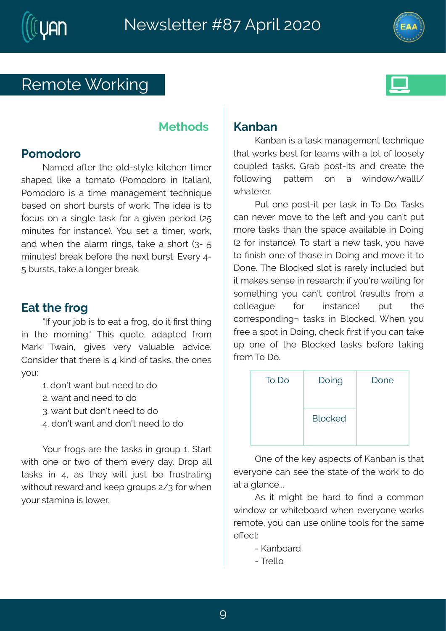



# Remote Working



## **Methods**

# **Pomodoro**

Named after the old-style kitchen timer shaped like a tomato (Pomodoro in Italian), Pomodoro is a time management technique based on short bursts of work. The idea is to focus on a single task for a given period (25 minutes for instance). You set a timer, work, and when the alarm rings, take a short (3- 5 minutes) break before the next burst. Every 4- 5 bursts, take a longer break.

# **Eat the frog**

"If your job is to eat a frog, do it first thing in the morning." This quote, adapted from Mark Twain, gives very valuable advice. Consider that there is 4 kind of tasks, the ones you:

- 1. don't want but need to do
- 2. want and need to do
- 3. want but don't need to do
- 4. don't want and don't need to do

Your frogs are the tasks in group 1. Start with one or two of them every day. Drop all tasks in 4, as they will just be frustrating without reward and keep groups 2/3 for when your stamina is lower.

# **Kanban**

Kanban is a task management technique that works best for teams with a lot of loosely coupled tasks. Grab post-its and create the following pattern on a window/walll/ whaterer.

Put one post-it per task in To Do. Tasks can never move to the left and you can't put more tasks than the space available in Doing (2 for instance). To start a new task, you have to finish one of those in Doing and move it to Done. The Blocked slot is rarely included but it makes sense in research: if you're waiting for something you can't control (results from a colleague for instance) put the corresponding¬ tasks in Blocked. When you free a spot in Doing, check first if you can take up one of the Blocked tasks before taking from To Do.

| To Do | Doing          | Done |
|-------|----------------|------|
|       | <b>Blocked</b> |      |

One of the key aspects of Kanban is that everyone can see the state of the work to do at a glance...

As it might be hard to find a common window or whiteboard when everyone works remote, you can use online tools for the same effect:

- Kanboard
- Trello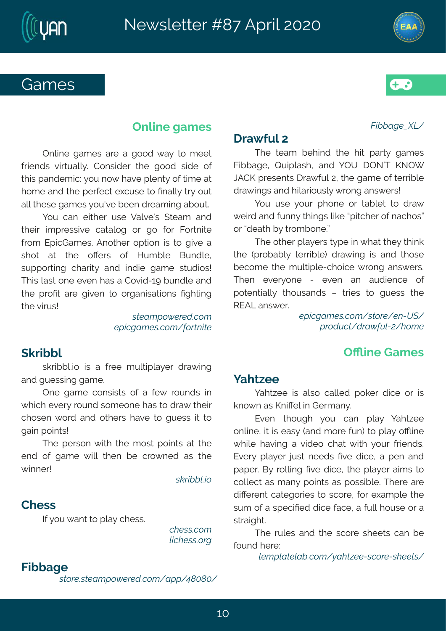# Lea i w

### XJååÐL\$áÂx-

## $l$  ve{  $iv$  p#

XI i #xi eq #f i l m h #xl i #l m #t ew } #k eq i w # Kmf eki #Vympewl #erh#] TY#I TSOK#PST[# OFHP# viw r xw# ye{ iv o#71#d i# ca i#si# iwmfnoj# hve { mnk wherh# moewspy wp}# vsrk #erw{ i ww\$

] sy#ywi#} syv#t I sri#sv#xef pix#xs#hve{# { in http://theresult.in/tw/tw/tonginal/tonglin/tsiteglswott sw#hiexl# }#wsqfsri3o

Xli#sxliv#tpe}iw#x}ti#m#; lex#xli}#xlmno#  $\overrightarrow{A}$  i #-t vsf ef  $\overrightarrow{B}$  #xi wing .#hve { mk# mo#er h#xi swi# figsq i#xli#q ypxnhpi2glsmgi#{ vsrk#erw{ iww3# XI i r # i zi  $\sqrt{3}$  sr i #  $2#$  i zi r # er # eyhmir gi # sj# t sxir xmepp}#xl sywer hw#i#xwmiw#xs#kyiww#xl i# WJFQ#erw{iv3

> $\frac{1}{2}$  in LEt  $\frac{1}{2}$ .  $\frac{1}{2}$ ,  $\frac{1}{2}$   $\frac{1}{2}$   $\frac{1}{2}$   $\frac{1}{2}$   $\frac{1}{2}$   $\frac{1}{2}$   $\frac{1}{2}$   $\frac{1}{2}$   $\frac{1}{2}$   $\frac{1}{2}$   $\frac{1}{2}$   $\frac{1}{2}$   $\frac{1}{2}$   $\frac{1}{2}$   $\frac{1}{2}$   $\frac{1}{2}$   $\frac{1}{2}$   $\frac{1}{2}$   $\$  $\cdot$ <sup>2</sup>, ù Ùi <del>Ê ù</del> <sup>2</sup> Đó ; Ù RÕ – V, lt \$

# TS mi # eq i w

## $1$ el x $\sim$ i i

lel x-i i #mor#epos#gepoi h#t soi v#hmoi #sv#mor# ors{ r#ew#PrmOip#m#Livger}3

Jzir# x| sykl # } sy# ger# t pe } # ] el x-i i # srpmi #txttw#tew}#erh#qsvi#yr.#xs#tpe}#sSmni# { I moi#l ezm k#e#zmhis#glex#{ mxl #} sy v#jvmin h w3# Jziv}#t pe}iv#ny wo#riih w#Pzi#hmoj#ee#tir#erh# t et i v\$rG}# uspomk#Pzi#hmgi# bli#t pe}i v#emo, w# s# qspoigx#ew#q er }#t smxw#ew#t swwmfpj 3\$XI i vi#evi# hnoli vir x#qexiksvmiw#xs#wqsvi1#|sv#lleqtpi#xli# wyq #sj#e# wtignPih#hmgi#jegi1#e#jypo#isy wi#sw#e# www.erkel  $\times$ #

XI i #w p w #er h #xI i #wqs vi #wI i i xw #qer #f i #  $isvrh\#i\vee \mathcal{H}$ 

Êst · KDÊSKDå¢,, t -úDVÊ \$\$Z î , 2\$Z V\$\$Ê -

# Trpni #eq i w

Trpmi#keq iw#evi#e#kssh#(e}#xs#qiix# jvmirh w#zmwyepp}3#Hsrwmhiv#xli#kssh#wmhi#sj# x lnw#terhiq mg?#sy#s{#tezi#tpirx}#sj#xmqi#ex# Isq i#erh#vli#tivjigx#l|gywi#vs#Prepp}#xv}#syx# epo#vliwi#keqiw#jsy,zi#fiir#hvieqmk#efsyx3

I sy#ger#indiw#ywi#Zepziw#(xieg#erh# xlimu#montviwwnzni#gexepsk#sv#ks#jsv#Ksvxrmai# jvsg #JtmgLeg iw3#Frsxl iv#stxmsr#mw#xs#kmzi#e# wlsx#ex#xli#sOiww#sj#Myqfpi#Gyrhpi1# wyttswmk#glevn)#erh#mhm#kegi#ww.hnsw\$# XI mothews the ritt zirtt ewtett Hszmh 26># yrhpi #erh# x i #t vsPx#evi#knzir#xs#svkermwexnsrw#Pklxnnk# di#tnyw\$

> $\cdot$  B<sup>Dt</sup>  $\cdot$  0  $\frac{250}{4}$ , t  $\mathbb{S}$ • i LĐt  $\mathbb{S}$ · $\hat{a}$ , t  $\rightarrow$   $\mathbb{R}$ <sup>2</sup>Ex  $|\hat{B}|$

## (ownfp

wo winf poss#mo#e#jvi i #q y pxtnpe} i v#h ve{ mk# erh#kyiwwmk#keqi3

Tri#keq i#qsrwwww#sj#e#ji{#vsyrhw#mn# { Ingl# ziv}#syrh#wsq isri#lew#xs#hve{#xlimw# gl swir#{ svh#erh#sxl i w#l ezi#xs#kyi ww#ma#xs# kem#smxw\$

Xli#tiwsr#{mxl#xli#qsw##tsmnxw#ex#xli# irh#si#keqi#{mo#xlir#fi#qvs{rih#ew#xli#  $\{$  m r i  $\sqrt{3}$ 

· h<sup>2</sup>lååkt.

### HI i ww

 $N#$  sy# er x#s# pe}#gl i ww8

 $\hat{\mathbf{i}} \text{W\$ mathbf{\\$} \cdot \hat{\mathbf{\alpha}}...t  $k\hat{i}$   $W\hat{b}\cdot\hat{c}$   $2L$ 

## Kmf eki

 $\cdot$   $\hat{E}$  2\$ $\&$   $\hat{E}$  Dt  $\cdot$  , 6 \$2\$  $\hat{u}$   $\&$   $t$   $\rightarrow$   $\bullet$   $\cdot$   $\rightarrow$   $R$   $\&$   $\&$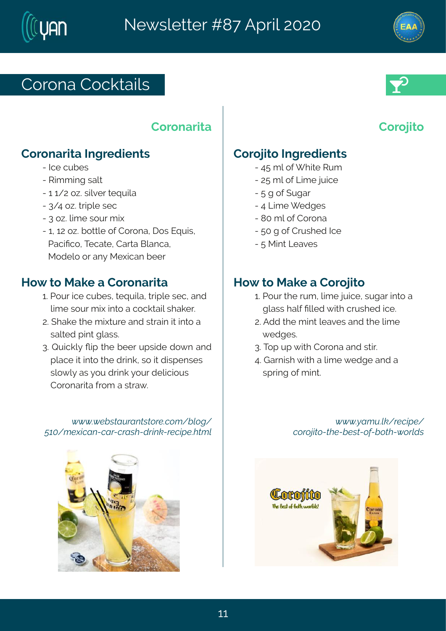# Hs vsre#Hs goxernov

#### Hs vs r evne

## Hs vs r evnxe#Nok vi hmir xw

2#Ngi#gyfiw 2# Vra q mk #vepx 2464647#s~3\$wrpxiv#xiuvnome# 2#849#s~3 # xmp # wi g  $248$ # $s$   $\sim$   $340$  $a$  i  $4$   $s$   $s$   $v$   $4$  $d$   $r$   $h$ 2461467#s~3#sxxpi#sj#Hsvsre1#sw#Juynw1# Uegrings #Xi gexi #Heve#Gperge# Rships#sw#er}#Ri|mojer#fiiv

### Ms{ #xs#Reoi #e#Hsvsrevmxe

- 63#Jsyv#moji#gyfiw#wiuymone1#xwtnpi#wig1#erh# #pro i #wsyw#q rh#mxs#e#gsgoxenp#wl eoiv3 73 leoi# li#q rhxy vi#er h#wwern#na#mxs#e# #wep i h# mx# peww8
- 83A/ymoop)#Qmt#oli#fiiv#ytwmhi#hs{r#erh # pegi#na#mxs# ki#h vnno 1# vs#na#h mxt ir wiw# #WOS{ p}#ew#} sy#hwno#} syw#hipmongrow# #Hsysrevme#ysq#e#wave{3

#### $\acute{o}$   $\acute{o}$   $\acute{o}$   $\acute{o}$   $\acute{S}$  $\acute{a}$ .  $\acute{E}$   $\acute{E}$   $\acute{E}$   $\acute{E}$   $\acute{E}$   $\acute{E}$   $\acute{S}$  $\acute{a}$ ,  $t$   $\ddot{a}$   $\acute{a}$ ,  $L$   $\ddot{a}$ A e & t \$ uli D x Zi D <sup>2</sup>Zi <sup>2</sup>D W Zu <sup>2</sup> I x h Z \$ i l · \$ a W £ k

### $Hs$  vs  $m\kappa$

### Hs vs mas #holk vi hmir xw

2#9:#q p#sj# Inxi#Wyq#  $2\frac{\pi}{2}$ : #q p#s j# $\Omega$ mg i #ny mg i # 2# # # j# vkev# 2#9#Qmori# ihkiw# 2# 5 # b # i# H s vsr e # 2#5 #k #si#Hw w i h # oli #  $2#$  #R mx# $\Omega$  ezi w#

### $MS \{$  #  $\&$  R eo i  $#$  #  $\&$  s  $\&$

63#Usy v#xl i #vyq 1#pmq i #lymgi 1#wykev#mxs#e# #kneww#epi#Popih#mol#bwwlih#pol3# 73Fhh#vi#qmx#pieziw#erh#vi#pmqi# # i hki w3# 833Xst#yt# mol#Hsvsre#erh#wwno# 93Ł evr mol# mol#e#pmon, i# ihki#erh#e# #wt wmk#sj#g mx#

> $\acute{o}$   $\acute{o}$   $\acute{o}$  of  $\acute{e}$  EDt Udsh $-2\%$ î [ $\degree$  Sî ... <sup>2</sup> ... biÊ ZÊN\$Zå\$ · ÊZ ... : Zå ... ÊNZó ... <sup>2</sup>kù ·